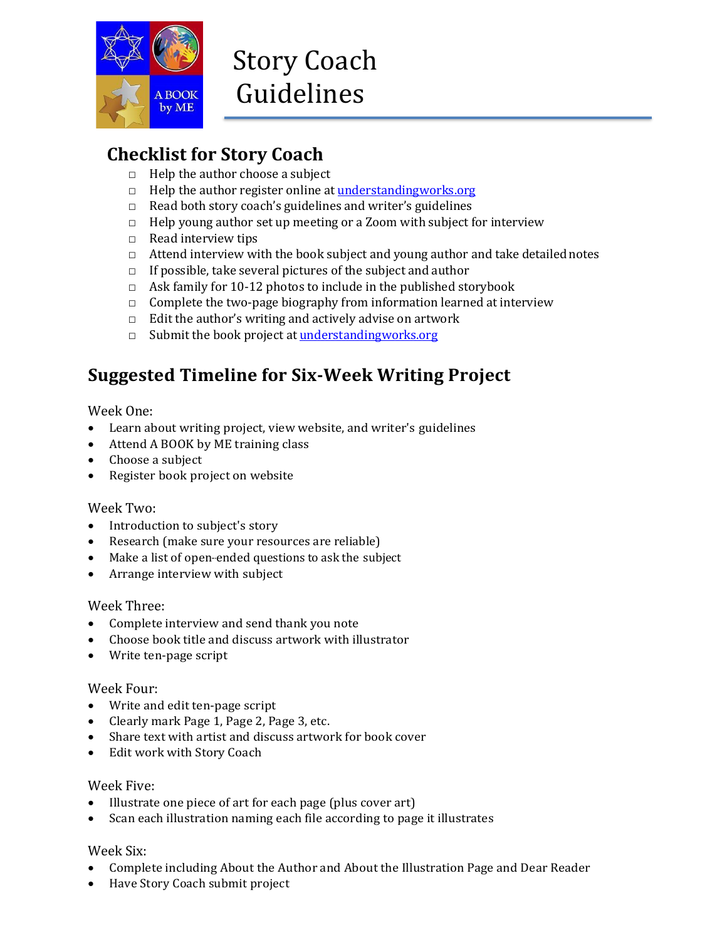

## **Checklist for Story Coach**

- $\Box$  Help the author choose a subject
- □ Help the author register online at [understandingworks.](http://www.understandingworks.org/)org
- $\Box$  Read both story coach's guidelines and writer's guidelines
- $\Box$  Help young author set up meeting or a Zoom with subject for interview
- □ Read interview tips
- □ Attend interview with the book subject and young author and take detailed notes
- $\Box$  If possible, take several pictures of the subject and author
- $\Box$  Ask family for 10-12 photos to include in the published storybook
- $\Box$  Complete the two-page biography from information learned at interview
- $\Box$  Edit the author's writing and actively advise on artwork
- □ Submit the book project at [understandingworks.org](http://www.understandingworks.org/)

## **Suggested Timeline for Six-Week Writing Project**

## Week One:

- Learn about writing project, view website, and writer's guidelines
- Attend A BOOK by ME training class
- Choose a subject
- Register book project on website

## Week Two:

- Introduction to subject's story
- Research (make sure your resources are reliable)
- Make a list of open-ended questions to ask the subject
- Arrange interview with subject

## Week Three:

- Complete interview and send thank you note
- Choose book title and discuss artwork with illustrator
- Write ten-page script

## Week Four:

- Write and edit ten-page script
- Clearly mark Page 1, Page 2, Page 3, etc.
- Share text with artist and discuss artwork for book cover
- Edit work with Story Coach

## Week Five:

- Illustrate one piece of art for each page (plus cover art)
- Scan each illustration naming each file according to page it illustrates

## Week Six:

- Complete including About the Author and About the Illustration Page and Dear Reader
- Have Story Coach submit project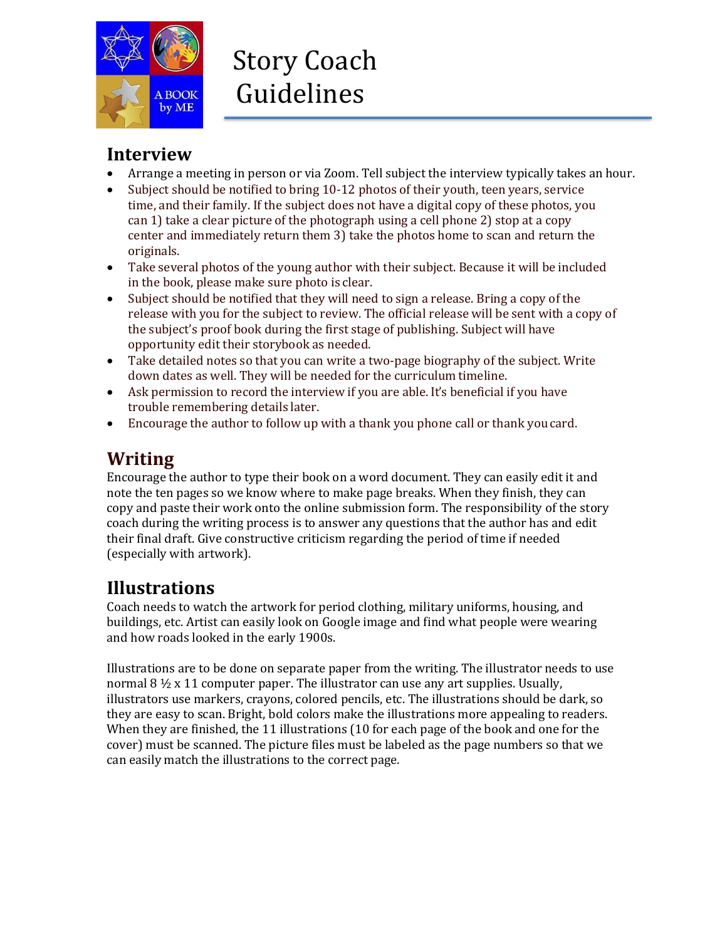

## **Interview**

- Arrange a meeting in person or via Zoom. Tell subject the interview typically takes an hour.
- Subject should be notified to bring 10-12 photos of their youth, teen years, service time, and their family. If the subject does not have a digital copy of these photos, you can 1) take a clear picture of the photograph using a cell phone 2) stop at a copy center and immediately return them 3) take the photos home to scan and return the originals.
- Take several photos of the young author with their subject. Because it will be included in the book, please make sure photo is clear.
- Subject should be notified that they will need to sign a release. Bring a copy of the release with you for the subject to review. The official release will be sent with a copy of the subject's proof book during the first stage of publishing. Subject will have opportunity edit their storybook as needed.
- Take detailed notes so that you can write a two-page biography of the subject. Write down dates as well. They will be needed for the curriculum timeline.
- Ask permission to record the interview if you are able. It's beneficial if you have trouble remembering details later.
- Encourage the author to follow up with a thank you phone call or thank youcard.

# **Writing**

Encourage the author to type their book on a word document. They can easily edit it and note the ten pages so we know where to make page breaks. When they finish, they can copy and paste their work onto the online submission form. The responsibility of the story coach during the writing process is to answer any questions that the author has and edit their final draft. Give constructive criticism regarding the period of time if needed (especially with artwork).

# **Illustrations**

Coach needs to watch the artwork for period clothing, military uniforms, housing, and buildings, etc. Artist can easily look on Google image and find what people were wearing and how roads looked in the early 1900s.

Illustrations are to be done on separate paper from the writing. The illustrator needs to use normal 8  $\frac{1}{2}$  x 11 computer paper. The illustrator can use any art supplies. Usually, illustrators use markers, crayons, colored pencils, etc. The illustrations should be dark, so they are easy to scan. Bright, bold colors make the illustrations more appealing to readers. When they are finished, the 11 illustrations (10 for each page of the book and one for the cover) must be scanned. The picture files must be labeled as the page numbers so that we can easily match the illustrations to the correct page.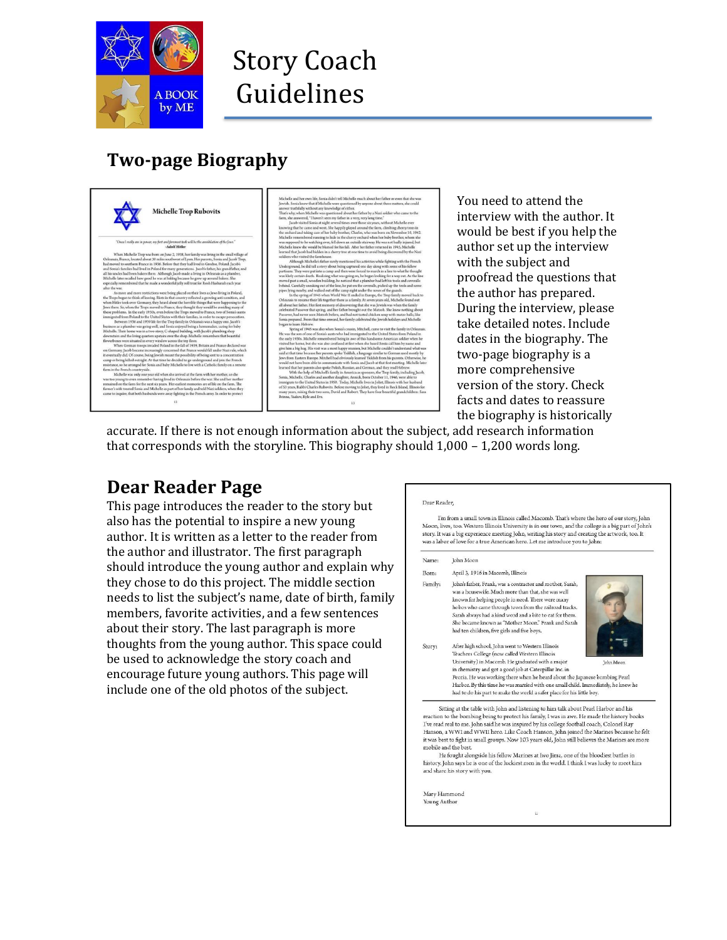

# Story Coach Guidelines

# **Two-page Biography**



You need to attend the interview with the author. It would be best if you help the author set up the interview with the subject and proofread the questions that the author has prepared. During the interview, please take detailed notes. Include dates in the biography. The two-page biography is a more comprehensive version of the story. Check facts and dates to reassure the biography is historically

accurate. If there is not enough information about the subject, add research information that corresponds with the storyline. This biography should 1,000 – 1,200 words long.

## **Dear Reader Page**

This page introduces the reader to the story but also has the potential to inspire a new young author. It is written as a letter to the reader from the author and illustrator. The first paragraph should introduce the young author and explain why they chose to do this project. The middle section needs to list the subject's name, date of birth, family members, favorite activities, and a few sentences about their story. The last paragraph is more thoughts from the young author. This space could be used to acknowledge the story coach and encourage future young authors. This page will include one of the old photos of the subject.

#### Dear Reader,

I'm from a small town in Illinois called Macomb. That's where the hero of our story, John  $\mathbf M$ oon, lives, too. Western Illinois University is in our town, and the college is a big part of John's story. It was a big experience meeting John, writing his story and creating the artwork, too. It was a labor of love for a true American hero. Let me introduce you to John:

#### Name: John Moon

- April 3, 1916 in Macomb, Illinois Born:
- John's father, Frank, was a contractor and mother, Sarah, Family: was a housewife. Much more than that, she was well known for helping people in need. There were many hobos who came through town from the railroad tracks. Sarah always had a kind word and a bite to eat for them. She became known as "Mother Moon." Frank and Sarah had ten children, five girls and five boys.



After high school, John went to Western Illinois Story: Teachers College (now called Western Illinois<br>University) in Macomb. He graduated with a major in chemistry and got a good job at Caterpillar Inc. in  $\,$ Peoria. He was working there when he heard about the Japanese bombing Pearl Harbor, By this time he was married with one small child, Immediately, he knew he had to do his part to make the world a safer place for his little boy

Sitting at the table with John and listening to him talk about Pearl Harbor and his reaction to the bombing being to protect his family, I was in awe. He made the history books<br>I've read real to me. John said he was inspired by his college football coach, Colonel Ray Hanson, a WWI and WWII hero. Like Coach Hanson, John joined the Marines because he felt it was best to fight in small groups. Now 103 years old, John still believes the Marines are mobile and the best.

He fought alongside his fellow Marines at Iwo Jima, one of the bloodiest battles in history. John says he is one of the luckiest men in the world. I think I was lucky to meet him and share his story with you.

 $\tilde{\mathbf{H}}$ 

Mary Hammond Young Author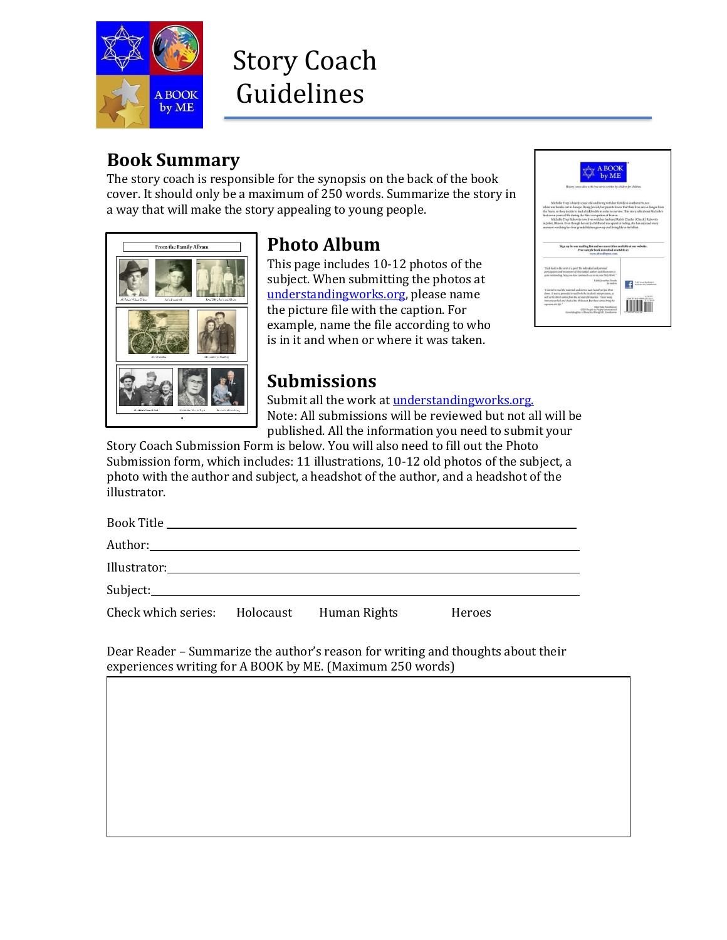

# Story Coach Guidelines

## **Book Summary**

The story coach is responsible for the synopsis on the back of the book cover. It should only be a maximum of 250 words. Summarize the story in a way that will make the story appealing to young people.



# **Photo Album**

This page includes 10-12 photos of the subject. When submitting the photos at [understandingworks.org, p](http://www.understandingworks.org/)lease name the picture file with the caption. For example, name the file according to who is in it and when or where it was taken.



## **Submissions**

Submit all the work at [understandingworks.org.](http://www.understandingworks.org/) Note: All submissions will be reviewed but not all will be published. All the information you need to submit your

Story Coach Submission Form is below. You will also need to fill out the Photo Submission form, which includes: 11 illustrations, 10-12 old photos of the subject, a photo with the author and subject, a headshot of the author, and a headshot of the illustrator.

| Check which series: Holocaust Human Rights |  | Heroes |  |
|--------------------------------------------|--|--------|--|

Dear Reader – Summarize the author's reason for writing and thoughts about their experiences writing for A BOOK by ME. (Maximum 250 words)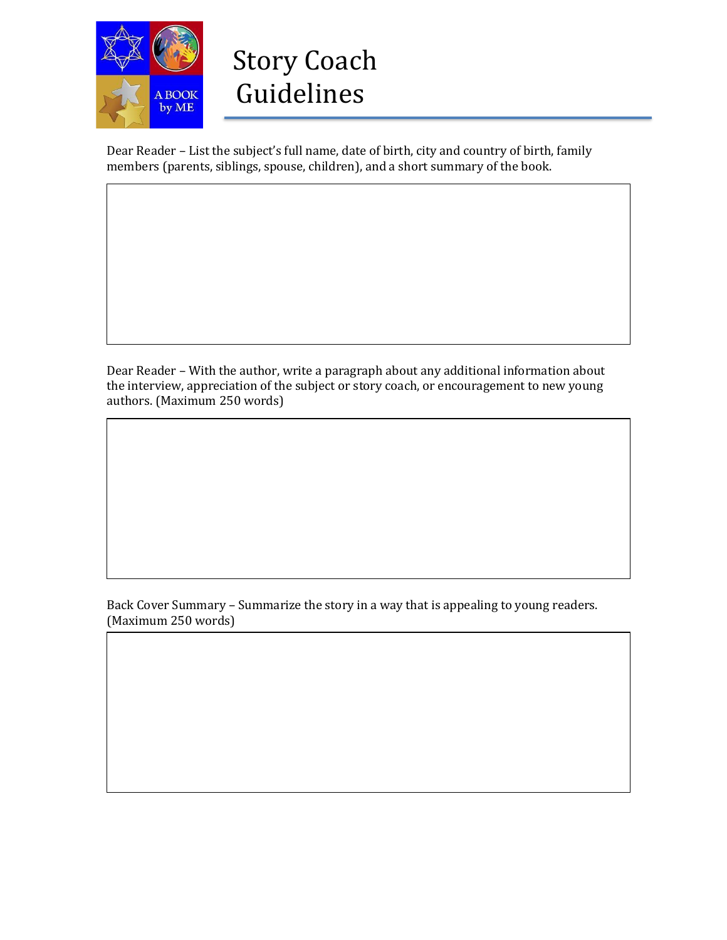

Dear Reader – List the subject's full name, date of birth, city and country of birth, family members (parents, siblings, spouse, children), and a short summary of the book.

Dear Reader – With the author, write a paragraph about any additional information about the interview, appreciation of the subject or story coach, or encouragement to new young authors. (Maximum 250 words)

Back Cover Summary – Summarize the story in a way that is appealing to young readers. (Maximum 250 words)